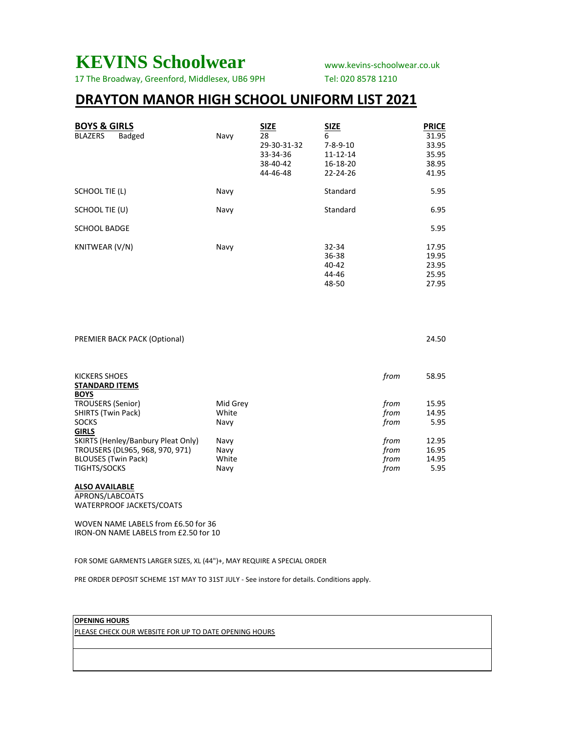## **KEVINS Schoolwear** www.kevins-schoolwear.co.uk

17 The Broadway, Greenford, Middlesex, UB6 9PH Tel: 020 8578 1210

## **DRAYTON MANOR HIGH SCHOOL UNIFORM LIST 2021**

| <b>BOYS &amp; GIRLS</b><br><b>BLAZERS</b><br>Badged | Navy | <b>SIZE</b><br>28<br>29-30-31-32<br>33-34-36<br>38-40-42<br>44-46-48 | <b>SIZE</b><br>6<br>$7 - 8 - 9 - 10$<br>11-12-14<br>16-18-20<br>22-24-26 | <b>PRICE</b><br>31.95<br>33.95<br>35.95<br>38.95<br>41.95 |
|-----------------------------------------------------|------|----------------------------------------------------------------------|--------------------------------------------------------------------------|-----------------------------------------------------------|
| <b>SCHOOL TIE (L)</b>                               | Navy |                                                                      | Standard                                                                 | 5.95                                                      |
| SCHOOL TIE (U)                                      | Navy |                                                                      | Standard                                                                 | 6.95                                                      |
| <b>SCHOOL BADGE</b>                                 |      |                                                                      |                                                                          | 5.95                                                      |
| KNITWEAR (V/N)                                      | Navy |                                                                      | 32-34<br>36-38<br>40-42<br>44-46<br>48-50                                | 17.95<br>19.95<br>23.95<br>25.95<br>27.95                 |

| PREMIER BACK PACK (Optional)                          |          |      | 24.50 |
|-------------------------------------------------------|----------|------|-------|
| KICKERS SHOES<br><b>STANDARD ITEMS</b><br><b>BOYS</b> |          | from | 58.95 |
| <b>TROUSERS (Senior)</b>                              | Mid Grey | from | 15.95 |
| <b>SHIRTS (Twin Pack)</b>                             | White    | from | 14.95 |
| <b>SOCKS</b>                                          | Navy     | from | 5.95  |
| <b>GIRLS</b>                                          |          |      |       |
| SKIRTS (Henley/Banbury Pleat Only)                    | Navy     | from | 12.95 |
| TROUSERS (DL965, 968, 970, 971)                       | Navy     | from | 16.95 |
| <b>BLOUSES (Twin Pack)</b>                            | White    | from | 14.95 |
| <b>TIGHTS/SOCKS</b>                                   | Navy     | from | 5.95  |

#### **ALSO AVAILABLE**

APRONS/LABCOATS WATERPROOF JACKETS/COATS

WOVEN NAME LABELS from £6.50 for 36 IRON-ON NAME LABELS from £2.50 for 10

FOR SOME GARMENTS LARGER SIZES, XL (44")+, MAY REQUIRE A SPECIAL ORDER

PRE ORDER DEPOSIT SCHEME 1ST MAY TO 31ST JULY - See instore for details. Conditions apply.

#### **OPENING HOURS**

PLEASE CHECK OUR WEBSITE FOR UP TO DATE OPENING HOURS